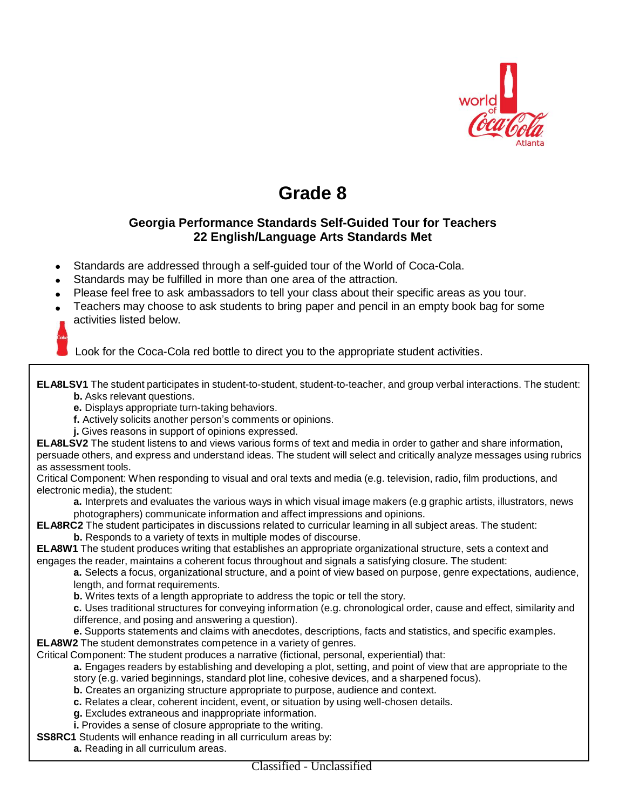

# **Grade 8**

## **Georgia Performance Standards Self-Guided Tour for Teachers 22 English/Language Arts Standards Met**

- Standards are addressed through a self-guided tour of the World of Coca-Cola.
- Standards may be fulfilled in more than one area of the attraction.
- Please feel free to ask ambassadors to tell your class about their specific areas as you tour.
- Teachers may choose to ask students to bring paper and pencil in an empty book bag for some activities listed below.

Look for the Coca-Cola red bottle to direct you to the appropriate student activities.

**ELA8LSV1** The student participates in student-to-student, student-to-teacher, and group verbal interactions. The student: **b.** Asks relevant questions.

**e.** Displays appropriate turn-taking behaviors.

**f.** Actively solicits another person's comments or opinions.

**j.** Gives reasons in support of opinions expressed.

**ELA8LSV2** The student listens to and views various forms of text and media in order to gather and share information, persuade others, and express and understand ideas. The student will select and critically analyze messages using rubrics as assessment tools.

Critical Component: When responding to visual and oral texts and media (e.g. television, radio, film productions, and electronic media), the student:

**a.** Interprets and evaluates the various ways in which visual image makers (e.g graphic artists, illustrators, news photographers) communicate information and affect impressions and opinions.

**ELA8RC2** The student participates in discussions related to curricular learning in all subject areas. The student: **b.** Responds to a variety of texts in multiple modes of discourse.

**ELA8W1** The student produces writing that establishes an appropriate organizational structure, sets a context and engages the reader, maintains a coherent focus throughout and signals a satisfying closure. The student:

**a.** Selects a focus, organizational structure, and a point of view based on purpose, genre expectations, audience, length, and format requirements.

**b.** Writes texts of a length appropriate to address the topic or tell the story.

**c.** Uses traditional structures for conveying information (e.g. chronological order, cause and effect, similarity and difference, and posing and answering a question).

**e.** Supports statements and claims with anecdotes, descriptions, facts and statistics, and specific examples. **ELA8W2** The student demonstrates competence in a variety of genres.

Critical Component: The student produces a narrative (fictional, personal, experiential) that:

**a.** Engages readers by establishing and developing a plot, setting, and point of view that are appropriate to the story (e.g. varied beginnings, standard plot line, cohesive devices, and a sharpened focus).

**b.** Creates an organizing structure appropriate to purpose, audience and context.

**c.** Relates a clear, coherent incident, event, or situation by using well-chosen details.

**g.** Excludes extraneous and inappropriate information.

**i.** Provides a sense of closure appropriate to the writing.

**SS8RC1** Students will enhance reading in all curriculum areas by:

**a.** Reading in all curriculum areas.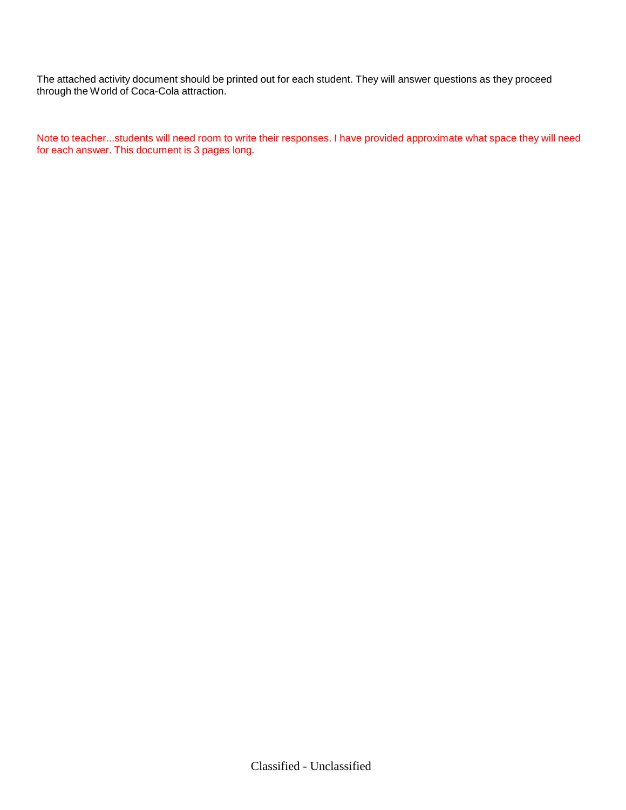The attached activity document should be printed out for each student. They will answer questions as they proceed through the World of Coca-Cola attraction.

Note to teacher...students will need room to write their responses. I have provided approximate what space they will need for each answer. This document is 3 pages long.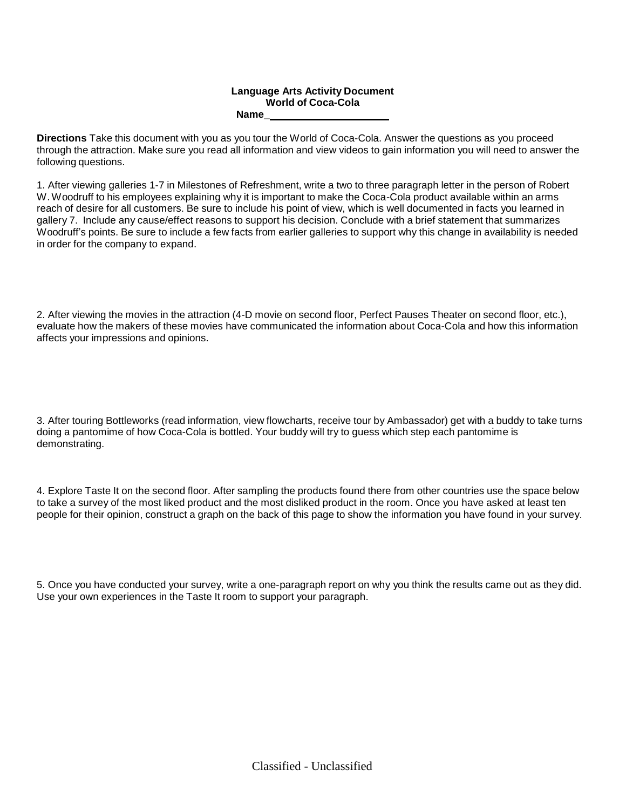#### **Language Arts Activity Document World of Coca-Cola Name\_**

**Directions** Take this document with you as you tour the World of Coca-Cola. Answer the questions as you proceed through the attraction. Make sure you read all information and view videos to gain information you will need to answer the following questions.

1. After viewing galleries 1-7 in Milestones of Refreshment, write a two to three paragraph letter in the person of Robert W. Woodruff to his employees explaining why it is important to make the Coca-Cola product available within an arms reach of desire for all customers. Be sure to include his point of view, which is well documented in facts you learned in gallery 7. Include any cause/effect reasons to support his decision. Conclude with a brief statement that summarizes Woodruff's points. Be sure to include a few facts from earlier galleries to support why this change in availability is needed in order for the company to expand.

2. After viewing the movies in the attraction (4-D movie on second floor, Perfect Pauses Theater on second floor, etc.), evaluate how the makers of these movies have communicated the information about Coca-Cola and how this information affects your impressions and opinions.

3. After touring Bottleworks (read information, view flowcharts, receive tour by Ambassador) get with a buddy to take turns doing a pantomime of how Coca-Cola is bottled. Your buddy will try to guess which step each pantomime is demonstrating.

4. Explore Taste It on the second floor. After sampling the products found there from other countries use the space below to take a survey of the most liked product and the most disliked product in the room. Once you have asked at least ten people for their opinion, construct a graph on the back of this page to show the information you have found in your survey.

5. Once you have conducted your survey, write a one-paragraph report on why you think the results came out as they did. Use your own experiences in the Taste It room to support your paragraph.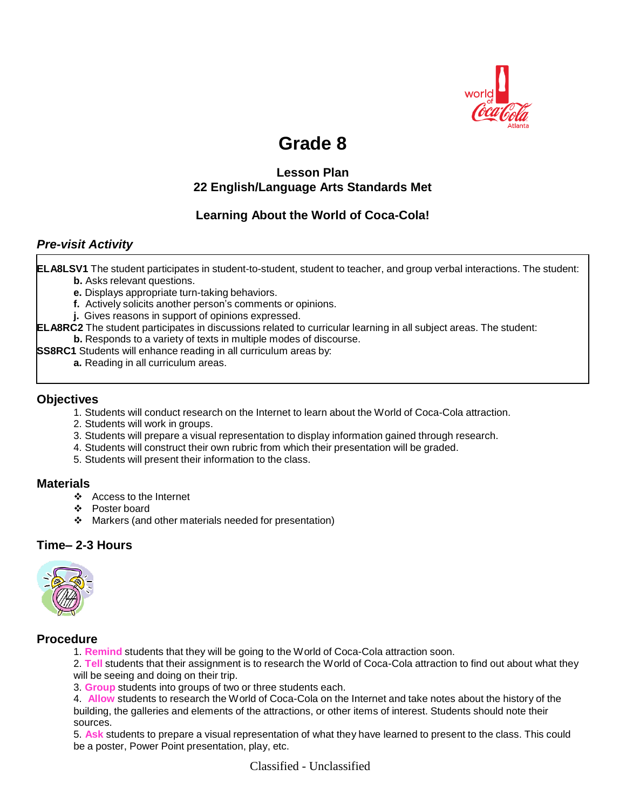

# **Grade 8**

## **Lesson Plan 22 English/Language Arts Standards Met**

## **Learning About the World of Coca-Cola!**

## *Pre-visit Activity*

**ELA8LSV1** The student participates in student-to-student, student to teacher, and group verbal interactions. The student: **b.** Asks relevant questions.

- **e.** Displays appropriate turn-taking behaviors.
- **f.** Actively solicits another person's comments or opinions.
- **j.** Gives reasons in support of opinions expressed.
- **ELA8RC2** The student participates in discussions related to curricular learning in all subject areas. The student: **b.** Responds to a variety of texts in multiple modes of discourse.
- **SS8RC1** Students will enhance reading in all curriculum areas by:
	- **a.** Reading in all curriculum areas.

## **Objectives**

- 1. Students will conduct research on the Internet to learn about the World of Coca-Cola attraction.
- 2. Students will work in groups.
- 3. Students will prepare a visual representation to display information gained through research.
- 4. Students will construct their own rubric from which their presentation will be graded.
- 5. Students will present their information to the class.

### **Materials**

- Access to the Internet
- Poster board
- Markers (and other materials needed for presentation)

## **Time– 2-3 Hours**



#### **Procedure**

1. **Remind** students that they will be going to the World of Coca-Cola attraction soon.

2. **Tell** students that their assignment is to research the World of Coca-Cola attraction to find out about what they will be seeing and doing on their trip.

3. **Group** students into groups of two or three students each.

4. **Allow** students to research the World of Coca-Cola on the Internet and take notes about the history of the building, the galleries and elements of the attractions, or other items of interest. Students should note their sources.

5. **Ask** students to prepare a visual representation of what they have learned to present to the class. This could be a poster, Power Point presentation, play, etc.

Classified - Unclassified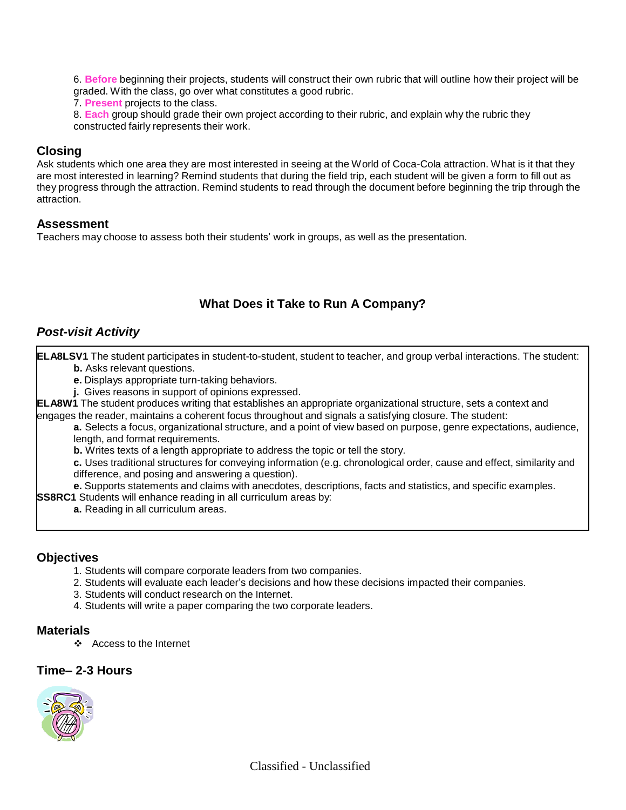6. **Before** beginning their projects, students will construct their own rubric that will outline how their project will be graded. With the class, go over what constitutes a good rubric.

7. **Present** projects to the class.

8. **Each** group should grade their own project according to their rubric, and explain why the rubric they constructed fairly represents their work.

## **Closing**

Ask students which one area they are most interested in seeing at the World of Coca-Cola attraction. What is it that they are most interested in learning? Remind students that during the field trip, each student will be given a form to fill out as they progress through the attraction. Remind students to read through the document before beginning the trip through the attraction.

## **Assessment**

Teachers may choose to assess both their students' work in groups, as well as the presentation.

## **What Does it Take to Run A Company?**

## *Post-visit Activity*

**ELA8LSV1** The student participates in student-to-student, student to teacher, and group verbal interactions. The student: **b.** Asks relevant questions.

**e.** Displays appropriate turn-taking behaviors.

**j.** Gives reasons in support of opinions expressed.

**ELA8W1** The student produces writing that establishes an appropriate organizational structure, sets a context and engages the reader, maintains a coherent focus throughout and signals a satisfying closure. The student:

**a.** Selects a focus, organizational structure, and a point of view based on purpose, genre expectations, audience, length, and format requirements.

**b.** Writes texts of a length appropriate to address the topic or tell the story.

**c.** Uses traditional structures for conveying information (e.g. chronological order, cause and effect, similarity and difference, and posing and answering a question).

**e.** Supports statements and claims with anecdotes, descriptions, facts and statistics, and specific examples.

**SS8RC1** Students will enhance reading in all curriculum areas by:

**a.** Reading in all curriculum areas.

### **Objectives**

- 1. Students will compare corporate leaders from two companies.
- 2. Students will evaluate each leader's decisions and how these decisions impacted their companies.
- 3. Students will conduct research on the Internet.
- 4. Students will write a paper comparing the two corporate leaders.

### **Materials**

Access to the Internet

### **Time– 2-3 Hours**